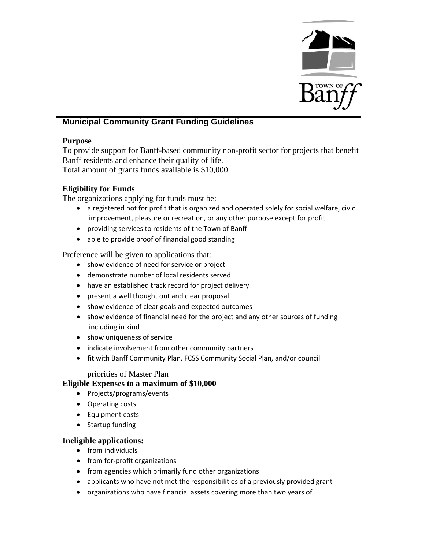

# **Municipal Community Grant Funding Guidelines**

### **Purpose**

To provide support for Banff-based community non-profit sector for projects that benefit Banff residents and enhance their quality of life.

Total amount of grants funds available is \$10,000.

# **Eligibility for Funds**

The organizations applying for funds must be:

- a registered not for profit that is organized and operated solely for social welfare, civic improvement, pleasure or recreation, or any other purpose except for profit
- providing services to residents of the Town of Banff
- able to provide proof of financial good standing

Preference will be given to applications that:

- show evidence of need for service or project
- demonstrate number of local residents served
- have an established track record for project delivery
- present a well thought out and clear proposal
- show evidence of clear goals and expected outcomes
- show evidence of financial need for the project and any other sources of funding including in kind
- show uniqueness of service
- indicate involvement from other community partners
- fit with Banff Community Plan, FCSS Community Social Plan, and/or council

### priorities of Master Plan

### **Eligible Expenses to a maximum of \$10,000**

- Projects/programs/events
- Operating costs
- Equipment costs
- Startup funding

## **Ineligible applications:**

- from individuals
- from for-profit organizations
- from agencies which primarily fund other organizations
- applicants who have not met the responsibilities of a previously provided grant
- organizations who have financial assets covering more than two years of